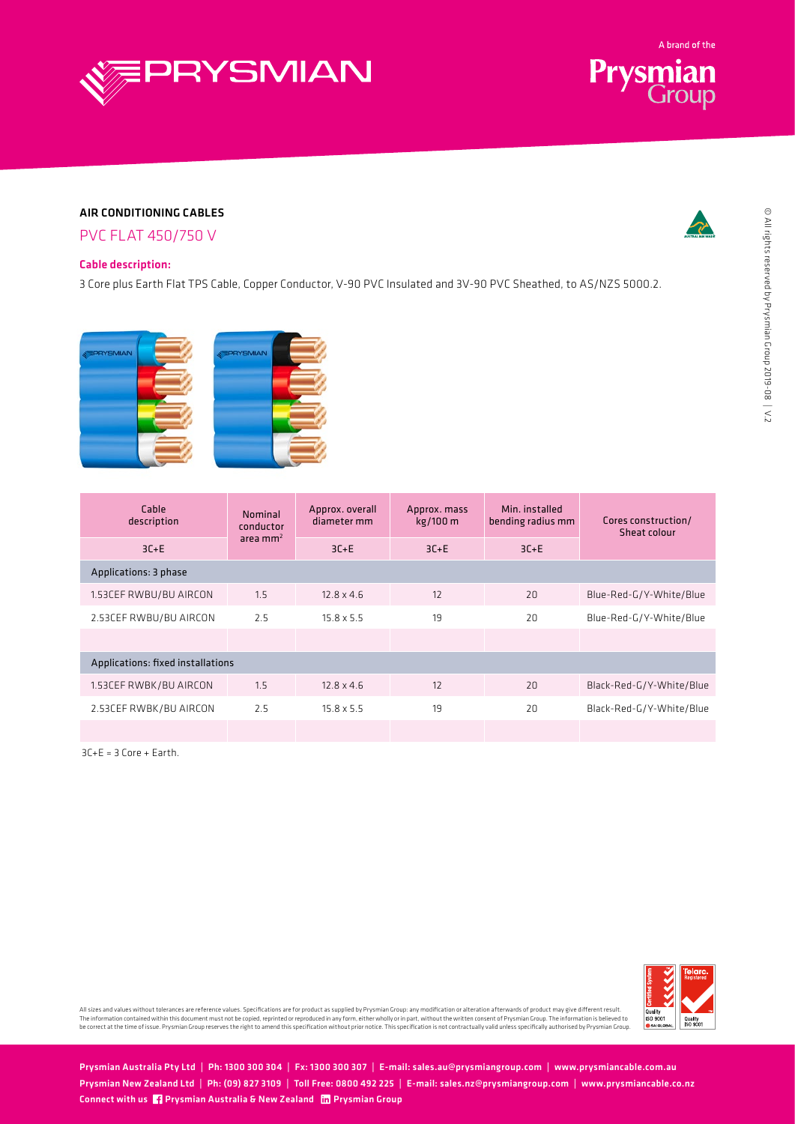

A brand of the **Prysmian**<br>Group

# AIR CONDITIONING CABLES



## Cable description:

3 Core plus Earth Flat TPS Cable, Copper Conductor, V-90 PVC Insulated and 3V-90 PVC Sheathed, to AS/NZS 5000.2.



| Cable<br>description              | <b>Nominal</b><br>conductor | Approx. overall<br>diameter mm | Approx. mass<br>kg/100 m | Min. installed<br>bending radius mm | Cores construction/<br>Sheat colour |  |  |  |  |  |  |  |
|-----------------------------------|-----------------------------|--------------------------------|--------------------------|-------------------------------------|-------------------------------------|--|--|--|--|--|--|--|
| $3C + E$                          | area $mm2$                  | $3C + E$                       | $3C + E$                 | $3C + E$                            |                                     |  |  |  |  |  |  |  |
| Applications: 3 phase             |                             |                                |                          |                                     |                                     |  |  |  |  |  |  |  |
| 1.53CEF RWBU/BU AIRCON            | 1.5                         | $12.8 \times 4.6$              | 12                       | 20                                  | Blue-Red-G/Y-White/Blue             |  |  |  |  |  |  |  |
| 2.53CEF RWBU/BU AIRCON            | 2.5                         | $15.8 \times 5.5$              | 19                       | 20                                  | Blue-Red-G/Y-White/Blue             |  |  |  |  |  |  |  |
|                                   |                             |                                |                          |                                     |                                     |  |  |  |  |  |  |  |
| Applications: fixed installations |                             |                                |                          |                                     |                                     |  |  |  |  |  |  |  |
| 1.53CEF RWBK/BU AIRCON            | 1.5                         | $12.8 \times 4.6$              | 12                       | 20                                  | Black-Red-G/Y-White/Blue            |  |  |  |  |  |  |  |
| 2.53CEF RWBK/BU AIRCON            | 2.5                         | $15.8 \times 5.5$              | 19                       | 20                                  | Black-Red-G/Y-White/Blue            |  |  |  |  |  |  |  |
|                                   |                             |                                |                          |                                     |                                     |  |  |  |  |  |  |  |

3C+E = 3 Core + Earth.



All sizes and values without tolerances are reference values. Specifications are for product as supplied by Prysmian Group: any modification or alteration afterwards of product may give different result.<br>The information co

Prysmian Australia Pty Ltd | Ph: 1300 300 304 | Fx: 1300 300 307 | E-mail: sales.au@prysmiangroup.com | www.prysmiancable.com.au Prysmian New Zealand Ltd | Ph: (09) 827 3109 | Toll Free: 0800 492 225 | E-mail: sales.nz@prysmiangroup.com | www.prysmiancable.co.nz Connect with us **[P](https://www.linkedin.com/company/prysmian/)rysmian Australia & New Zealand In** Prysmian Group